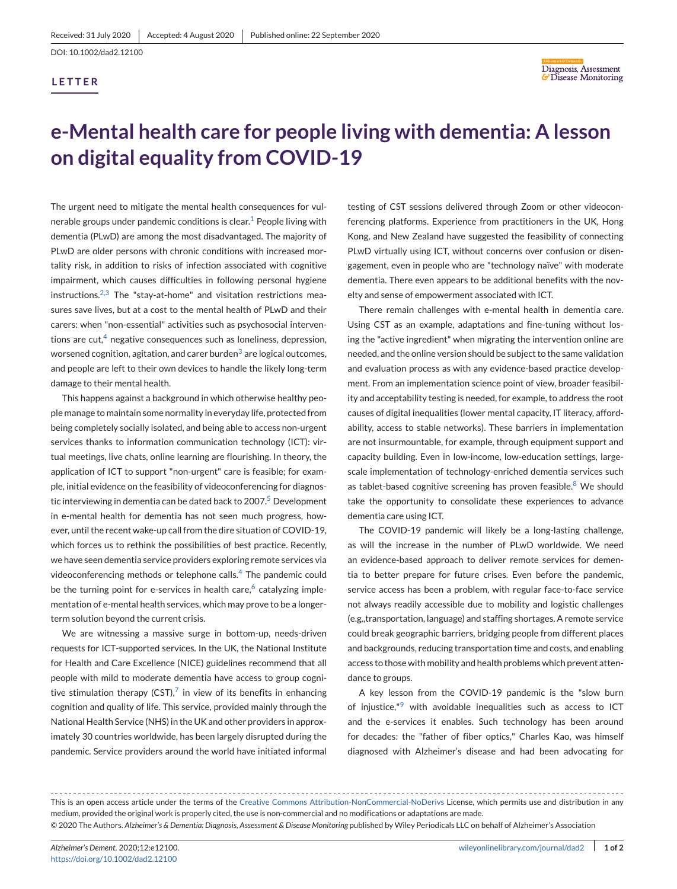DOI: 10.1002/dad2.12100

# **LETTER**



# **e-Mental health care for people living with dementia: A lesson on digital equality from COVID-19**

The urgent need to mitigate the mental health consequences for vulnerable groups under pandemic conditions is clear. $1$  People living with dementia (PLwD) are among the most disadvantaged. The majority of PLwD are older persons with chronic conditions with increased mortality risk, in addition to risks of infection associated with cognitive impairment, which causes difficulties in following personal hygiene instructions. $2,3$  The "stay-at-home" and visitation restrictions measures save lives, but at a cost to the mental health of PLwD and their carers: when "non-essential" activities such as psychosocial interventions are  $cut<sup>4</sup>$  $cut<sup>4</sup>$  $cut<sup>4</sup>$  negative consequences such as loneliness, depression, worsened cognition, agitation, and carer burden $3$  are logical outcomes, and people are left to their own devices to handle the likely long-term damage to their mental health.

This happens against a background in which otherwise healthy people manage to maintain some normality in everyday life, protected from being completely socially isolated, and being able to access non-urgent services thanks to information communication technology (ICT): virtual meetings, live chats, online learning are flourishing. In theory, the application of ICT to support "non-urgent" care is feasible; for example, initial evidence on the feasibility of videoconferencing for diagnos-tic interviewing in dementia can be dated back to 2007.<sup>[5](#page-1-0)</sup> Development in e-mental health for dementia has not seen much progress, however, until the recent wake-up call from the dire situation of COVID-19, which forces us to rethink the possibilities of best practice. Recently, we have seen dementia service providers exploring remote services via videoconferencing methods or telephone calls.[4](#page-1-0) The pandemic could be the turning point for e-services in health care, $6$  catalyzing implementation of e-mental health services, which may prove to be a longerterm solution beyond the current crisis.

We are witnessing a massive surge in bottom-up, needs-driven requests for ICT-supported services. In the UK, the National Institute for Health and Care Excellence (NICE) guidelines recommend that all people with mild to moderate dementia have access to group cognitive stimulation therapy (CST), $^7$  $^7$  in view of its benefits in enhancing cognition and quality of life. This service, provided mainly through the National Health Service (NHS) in the UK and other providers in approximately 30 countries worldwide, has been largely disrupted during the pandemic. Service providers around the world have initiated informal

testing of CST sessions delivered through Zoom or other videoconferencing platforms. Experience from practitioners in the UK, Hong Kong, and New Zealand have suggested the feasibility of connecting PLwD virtually using ICT, without concerns over confusion or disengagement, even in people who are "technology naïve" with moderate dementia. There even appears to be additional benefits with the novelty and sense of empowerment associated with ICT.

There remain challenges with e-mental health in dementia care. Using CST as an example, adaptations and fine-tuning without losing the "active ingredient" when migrating the intervention online are needed, and the online version should be subject to the same validation and evaluation process as with any evidence-based practice development. From an implementation science point of view, broader feasibility and acceptability testing is needed, for example, to address the root causes of digital inequalities (lower mental capacity, IT literacy, affordability, access to stable networks). These barriers in implementation are not insurmountable, for example, through equipment support and capacity building. Even in low-income, low-education settings, largescale implementation of technology-enriched dementia services such as tablet-based cognitive screening has proven feasible. $8$  We should take the opportunity to consolidate these experiences to advance dementia care using ICT.

The COVID-19 pandemic will likely be a long-lasting challenge, as will the increase in the number of PLwD worldwide. We need an evidence-based approach to deliver remote services for dementia to better prepare for future crises. Even before the pandemic, service access has been a problem, with regular face-to-face service not always readily accessible due to mobility and logistic challenges (e.g.,transportation, language) and staffing shortages. A remote service could break geographic barriers, bridging people from different places and backgrounds, reducing transportation time and costs, and enabling access to those with mobility and health problems which prevent attendance to groups.

A key lesson from the COVID-19 pandemic is the "slow burn of injustice,"<sup>[9](#page-1-0)</sup> with avoidable inequalities such as access to ICT and the e-services it enables. Such technology has been around for decades: the "father of fiber optics," Charles Kao, was himself diagnosed with Alzheimer's disease and had been advocating for

This is an open access article under the terms of the [Creative Commons Attribution-NonCommercial-NoDerivs](http://creativecommons.org/licenses/by-nc-nd/4.0/) License, which permits use and distribution in any medium, provided the original work is properly cited, the use is non-commercial and no modifications or adaptations are made. © 2020 The Authors. *Alzheimer's & Dementia: Diagnosis, Assessment & Disease Monitoring* published by Wiley Periodicals LLC on behalf of Alzheimer's Association